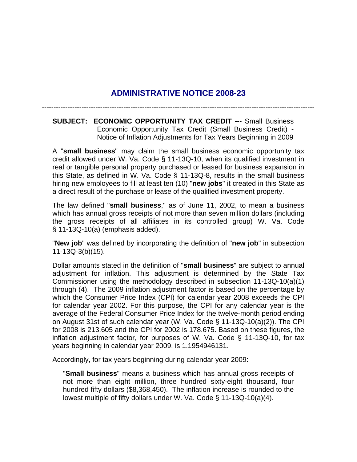## **ADMINISTRATIVE NOTICE 2008-23**

---------------------------------------------------------------------------------------------------------------------

**SUBJECT: ECONOMIC OPPORTUNITY TAX CREDIT ---** Small Business Economic Opportunity Tax Credit (Small Business Credit) - Notice of Inflation Adjustments for Tax Years Beginning in 2009

A "**small business**" may claim the small business economic opportunity tax credit allowed under W. Va. Code § 11-13Q-10, when its qualified investment in real or tangible personal property purchased or leased for business expansion in this State, as defined in W. Va. Code § 11-13Q-8, results in the small business hiring new employees to fill at least ten (10) "**new jobs**" it created in this State as a direct result of the purchase or lease of the qualified investment property.

The law defined "**small business**," as of June 11, 2002, to mean a business which has annual gross receipts of not more than seven million dollars (including the gross receipts of all affiliates in its controlled group) W. Va. Code § 11-13Q-10(a) (emphasis added).

"**New job**" was defined by incorporating the definition of "**new job**" in subsection 11-13Q-3(b)(15).

Dollar amounts stated in the definition of "**small business**" are subject to annual adjustment for inflation. This adjustment is determined by the State Tax Commissioner using the methodology described in subsection 11-13Q-10(a)(1) through (4). The 2009 inflation adjustment factor is based on the percentage by which the Consumer Price Index (CPI) for calendar year 2008 exceeds the CPI for calendar year 2002. For this purpose, the CPI for any calendar year is the average of the Federal Consumer Price Index for the twelve-month period ending on August 31st of such calendar year (W. Va. Code § 11-13Q-10(a)(2)). The CPI for 2008 is 213.605 and the CPI for 2002 is 178.675. Based on these figures, the inflation adjustment factor, for purposes of W. Va. Code § 11-13Q-10, for tax years beginning in calendar year 2009, is 1.1954946131.

Accordingly, for tax years beginning during calendar year 2009:

"**Small business**" means a business which has annual gross receipts of not more than eight million, three hundred sixty-eight thousand, four hundred fifty dollars (\$8,368,450). The inflation increase is rounded to the lowest multiple of fifty dollars under W. Va. Code § 11-13Q-10(a)(4).